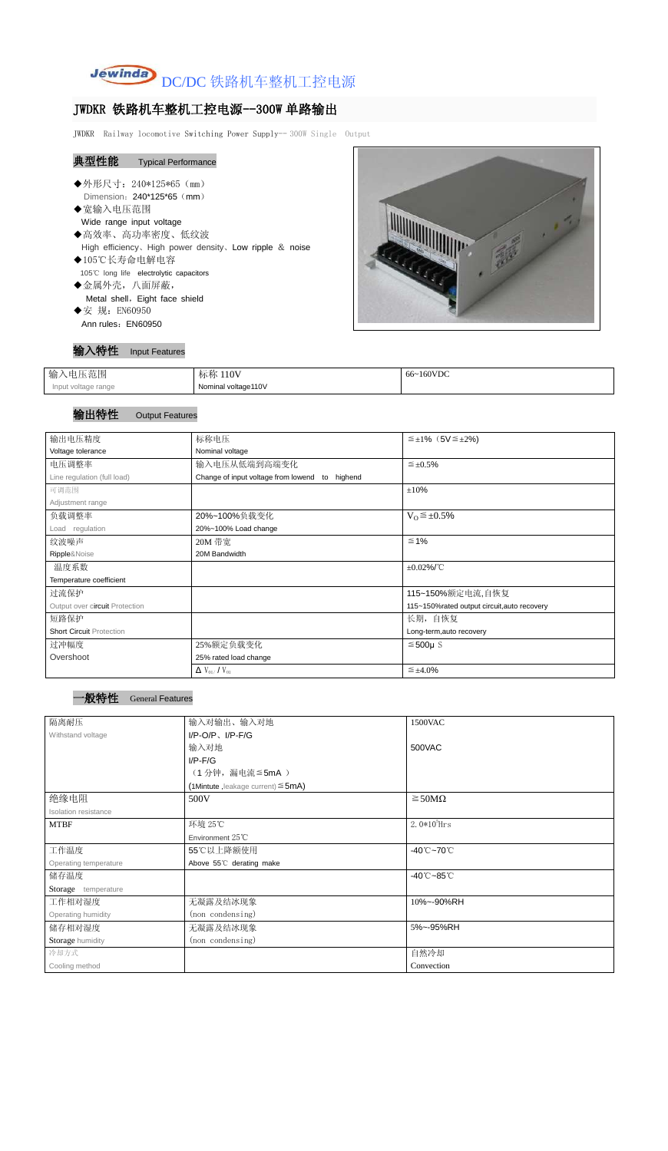

## JWDKR 铁路机车整机工控电源--300W 单路输出

JWDKR Railway locomotive Switching Power Supply-- 300W Single Output

# 典型性能 Typical Performance

- ◆外形尺寸: 240\*125\*65 (mm) Dimension: 240\*125\*65 (mm)
- ◆宽输入电压范围 Wide range input voltage
- ◆高效率、高功率密度、低纹波 High efficiency、High power density、Low ripple & noise
- ◆105℃长寿命电解电容 105℃ long life electrolytic capacitors ◆金属外壳,八面屏蔽,

Metal shell, Eight face shield

◆安 规: EN60950 Ann rules: EN60950



### 输入特性 Input Features

| 输入电压范围              | 标称 110V             | 66~160VDC |
|---------------------|---------------------|-----------|
| Input voltage range | Nominal voltage110V |           |

### 输出特性 Output Features

| 输出电压精度                          | 标称电压                                           | $\leq \pm 1\%$ (5V $\leq \pm 2\%$ )         |
|---------------------------------|------------------------------------------------|---------------------------------------------|
| Voltage tolerance               | Nominal voltage                                |                                             |
| 电压调整率                           | 输入电压从低端到高端变化                                   | $\leq \pm 0.5\%$                            |
| Line regulation (full load)     | Change of input voltage from lowend to highend |                                             |
| 可调范围                            |                                                | ±10%                                        |
| Adjustment range                |                                                |                                             |
| 负载调整率                           | 20%~100%负载变化                                   | $V_0 \leq \pm 0.5\%$                        |
| Load regulation                 | 20%~100% Load change                           |                                             |
| 纹波噪声                            | 20M 带宽                                         | $\leq 1\%$                                  |
| Ripple&Noise                    | 20M Bandwidth                                  |                                             |
| 温度系数                            |                                                | $\pm 0.02\%$ /°C                            |
| Temperature coefficient         |                                                |                                             |
| 过流保护                            |                                                | 115~150%额定电流,自恢复                            |
| Output over circuit Protection  |                                                | 115~150%rated output circuit, auto recovery |
| 短路保护                            |                                                | 长期, 自恢复                                     |
| <b>Short Circuit Protection</b> |                                                | Long-term, auto recovery                    |
| 过冲幅度                            | 25%额定负载变化                                      | $≤500µ$ S                                   |
| Overshoot                       | 25% rated load change                          |                                             |
|                                 | $\Delta$ V <sub>01</sub> /V <sub>01</sub>      | $\leq \pm 4.0\%$                            |

 $^{\rm +}$ 般特性 General Features

| 隔离耐压                  | 输入对输出、输入对地                              | 1500VAC                         |
|-----------------------|-----------------------------------------|---------------------------------|
| Withstand voltage     | $I/P$ -O/P, $I/P$ -F/G                  |                                 |
|                       | 输入对地                                    | 500VAC                          |
|                       | $I/P$ - $F/G$                           |                                 |
|                       | (1分钟,漏电流≦5mA)                           |                                 |
|                       | (1Mintute, leakage current) $\leq$ 5mA) |                                 |
| 绝缘电阻                  | 500V                                    | $\geq$ 50M $\Omega$             |
| Isolation resistance  |                                         |                                 |
| <b>MTBF</b>           | 环境 25℃                                  | $2.0*105$ Hrs                   |
|                       | Environment 25°C                        |                                 |
| 工作温度                  | 55℃以上降额使用                               | $-40^{\circ}$ C $-70^{\circ}$ C |
| Operating temperature | Above 55°C derating make                |                                 |
| 储存温度                  |                                         | $-40^{\circ}$ C $-85^{\circ}$ C |
| Storage temperature   |                                         |                                 |
| 工作相对湿度                | 无凝露及结冰现象                                | 10%~-90%RH                      |
| Operating humidity    | (non condensing)                        |                                 |
| 储存相对湿度                | 无凝露及结冰现象                                | 5%~-95%RH                       |
| Storage humidity      | (non condensing)                        |                                 |
| 冷却方式                  |                                         | 自然冷却                            |
| Cooling method        |                                         | Convection                      |